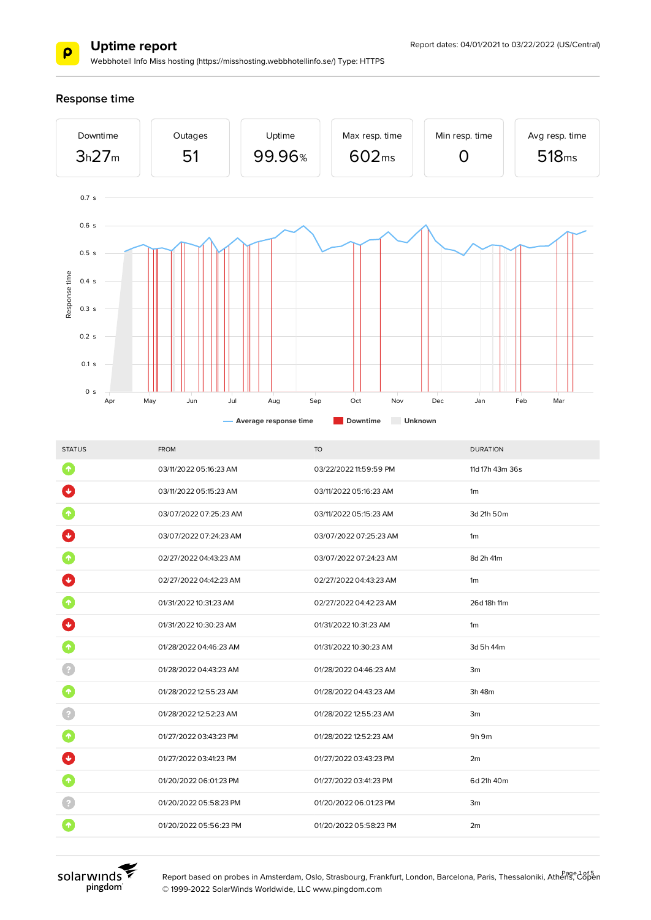

Webbhotell Info Miss hosting (https://misshosting.webbhotellinfo.se/) Type: HTTPS

#### **Response time**



| <b>STATUS</b>   | <b>FROM</b>            | <b>TO</b>              | <b>DURATION</b> |
|-----------------|------------------------|------------------------|-----------------|
| $\blacklozenge$ | 03/11/2022 05:16:23 AM | 03/22/2022 11:59:59 PM | 11d 17h 43m 36s |
|                 | 03/11/2022 05:15:23 AM | 03/11/2022 05:16:23 AM | 1 <sub>m</sub>  |
|                 | 03/07/2022 07:25:23 AM | 03/11/2022 05:15:23 AM | 3d 21h 50m      |
|                 | 03/07/2022 07:24:23 AM | 03/07/2022 07:25:23 AM | 1 <sub>m</sub>  |
|                 | 02/27/2022 04:43:23 AM | 03/07/2022 07:24:23 AM | 8d 2h 41m       |
|                 | 02/27/2022 04:42:23 AM | 02/27/2022 04:43:23 AM | 1 <sub>m</sub>  |
|                 | 01/31/2022 10:31:23 AM | 02/27/2022 04:42:23 AM | 26d 18h 11m     |
|                 | 01/31/2022 10:30:23 AM | 01/31/2022 10:31:23 AM | 1 <sub>m</sub>  |
|                 | 01/28/2022 04:46:23 AM | 01/31/2022 10:30:23 AM | 3d 5h 44m       |
|                 | 01/28/2022 04:43:23 AM | 01/28/2022 04:46:23 AM | 3m              |
| ↑               | 01/28/2022 12:55:23 AM | 01/28/2022 04:43:23 AM | 3h 48m          |
|                 | 01/28/2022 12:52:23 AM | 01/28/2022 12:55:23 AM | Зm              |
|                 | 01/27/2022 03:43:23 PM | 01/28/2022 12:52:23 AM | 9h 9m           |
|                 | 01/27/2022 03:41:23 PM | 01/27/2022 03:43:23 PM | 2m              |
|                 | 01/20/2022 06:01:23 PM | 01/27/2022 03:41:23 PM | 6d 21h 40m      |
|                 | 01/20/2022 05:58:23 PM | 01/20/2022 06:01:23 PM | 3m              |
|                 | 01/20/2022 05:56:23 PM | 01/20/2022 05:58:23 PM | 2m              |
|                 |                        |                        |                 |



Report based on probes in Amsterdam, Oslo, Strasbourg, Frankfurt, London, Barcelona, Paris, Thessaloniki, Athens, Copen © 1999-2022 SolarWinds Worldwide, LLC www.pingdom.com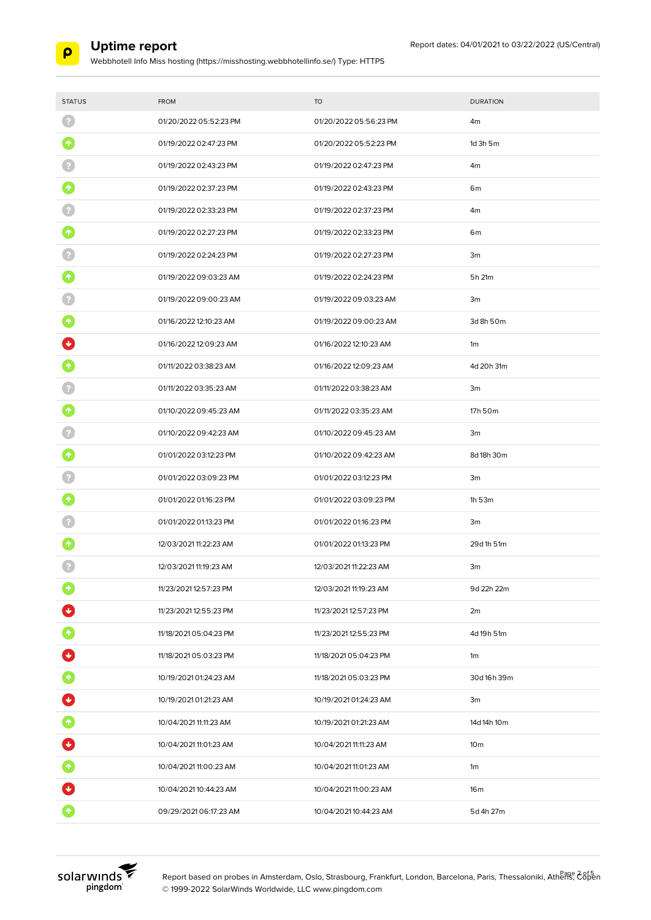

Webbhotell Info Miss hosting (https://misshosting.webbhotellinfo.se/) Type: HTTPS

| <b>STATUS</b> | <b>FROM</b>            | <b>TO</b>              | <b>DURATION</b> |
|---------------|------------------------|------------------------|-----------------|
|               | 01/20/2022 05:52:23 PM | 01/20/2022 05:56:23 PM | 4m              |
|               |                        |                        |                 |
| 个             | 01/19/2022 02:47:23 PM | 01/20/2022 05:52:23 PM | $1d$ 3h $5m$    |
|               | 01/19/2022 02:43:23 PM | 01/19/2022 02:47:23 PM | 4m              |
|               | 01/19/2022 02:37:23 PM | 01/19/2022 02:43:23 PM | 6 <sub>m</sub>  |
|               | 01/19/2022 02:33:23 PM | 01/19/2022 02:37:23 PM | 4m              |
|               | 01/19/2022 02:27:23 PM | 01/19/2022 02:33:23 PM | 6m              |
|               | 01/19/2022 02:24:23 PM | 01/19/2022 02:27:23 PM | 3m              |
|               | 01/19/2022 09:03:23 AM | 01/19/2022 02:24:23 PM | 5h 21m          |
|               | 01/19/2022 09:00:23 AM | 01/19/2022 09:03:23 AM | 3m              |
|               | 01/16/2022 12:10:23 AM | 01/19/2022 09:00:23 AM | 3d 8h 50m       |
|               | 01/16/2022 12:09:23 AM | 01/16/2022 12:10:23 AM | 1 <sub>m</sub>  |
|               | 01/11/2022 03:38:23 AM | 01/16/2022 12:09:23 AM | 4d 20h 31m      |
|               | 01/11/2022 03:35:23 AM | 01/11/2022 03:38:23 AM | 3m              |
|               | 01/10/2022 09:45:23 AM | 01/11/2022 03:35:23 AM | 17h 50m         |
|               | 01/10/2022 09:42:23 AM | 01/10/2022 09:45:23 AM | 3m              |
|               | 01/01/2022 03:12:23 PM | 01/10/2022 09:42:23 AM | 8d 18h 30m      |
|               | 01/01/2022 03:09:23 PM | 01/01/2022 03:12:23 PM | 3m              |
|               | 01/01/2022 01:16:23 PM | 01/01/2022 03:09:23 PM | 1h 53m          |
|               | 01/01/2022 01:13:23 PM | 01/01/2022 01:16:23 PM | 3m              |
|               | 12/03/2021 11:22:23 AM | 01/01/2022 01:13:23 PM | 29d 1h 51m      |
|               | 12/03/2021 11:19:23 AM | 12/03/2021 11:22:23 AM | 3m              |
|               | 11/23/2021 12:57:23 PM | 12/03/2021 11:19:23 AM | 9d 22h 22m      |
|               | 11/23/2021 12:55:23 PM | 11/23/2021 12:57:23 PM | 2m              |
| $\bullet$     | 11/18/2021 05:04:23 PM | 11/23/2021 12:55:23 PM | 4d 19h 51m      |
| Ø             | 11/18/2021 05:03:23 PM | 11/18/2021 05:04:23 PM | 1m              |
| 0             | 10/19/2021 01:24:23 AM | 11/18/2021 05:03:23 PM | 30d 16h 39m     |
| O             | 10/19/2021 01:21:23 AM | 10/19/2021 01:24:23 AM | 3m              |
| Ø             | 10/04/2021 11:11:23 AM | 10/19/2021 01:21:23 AM | 14d 14h 10m     |
| Ø             | 10/04/2021 11:01:23 AM | 10/04/2021 11:11:23 AM | 10 <sub>m</sub> |
| $\bullet$     | 10/04/2021 11:00:23 AM | 10/04/2021 11:01:23 AM | 1m              |
|               | 10/04/2021 10:44:23 AM | 10/04/2021 11:00:23 AM | 16m             |
| $\bullet$     | 09/29/2021 06:17:23 AM | 10/04/2021 10:44:23 AM | 5d 4h 27m       |



Report based on probes in Amsterdam, Oslo, Strasbourg, Frankfurt, London, Barcelona, Paris, Thessaloniki, Athens, C8pen © 1999-2022 SolarWinds Worldwide, LLC www.pingdom.com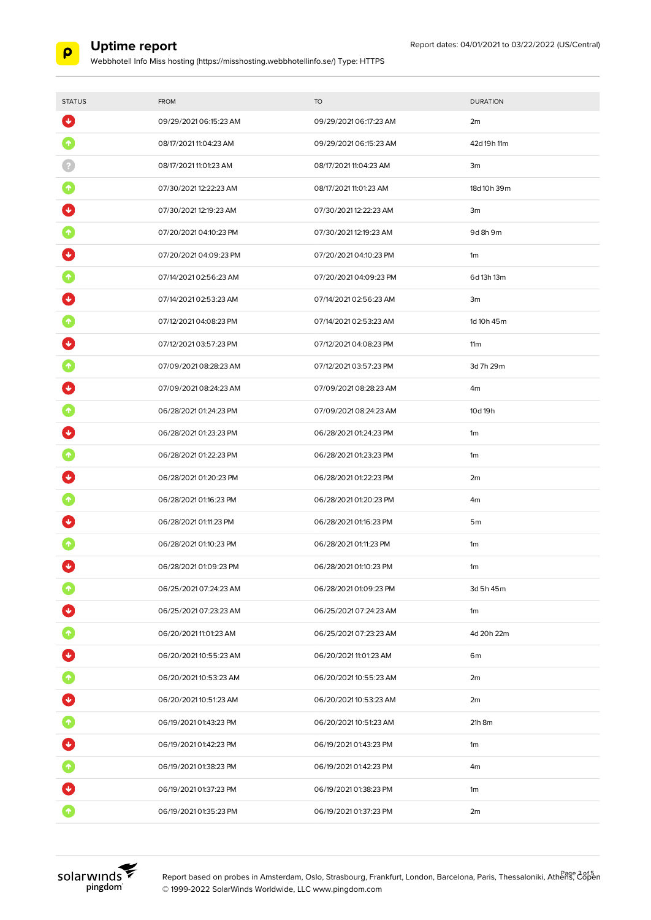

Webbhotell Info Miss hosting (https://misshosting.webbhotellinfo.se/) Type: HTTPS

| <b>STATUS</b>       | <b>FROM</b>            | <b>TO</b>              | <b>DURATION</b> |
|---------------------|------------------------|------------------------|-----------------|
| $\ddot{\mathbf{v}}$ | 09/29/2021 06:15:23 AM | 09/29/202106:17:23 AM  | 2m              |
| ٠                   | 08/17/2021 11:04:23 AM | 09/29/2021 06:15:23 AM | 42d 19h 11m     |
|                     | 08/17/2021 11:01:23 AM | 08/17/2021 11:04:23 AM | 3m              |
| 个                   | 07/30/202112:22:23 AM  | 08/17/2021 11:01:23 AM | 18d 10h 39m     |
|                     | 07/30/202112:19:23 AM  | 07/30/202112:22:23 AM  | 3m              |
|                     | 07/20/2021 04:10:23 PM | 07/30/2021 12:19:23 AM | 9d 8h 9m        |
|                     | 07/20/2021 04:09:23 PM | 07/20/2021 04:10:23 PM | 1m              |
|                     | 07/14/2021 02:56:23 AM | 07/20/2021 04:09:23 PM | 6d 13h 13m      |
|                     | 07/14/2021 02:53:23 AM | 07/14/2021 02:56:23 AM | 3m              |
|                     | 07/12/2021 04:08:23 PM | 07/14/2021 02:53:23 AM | 1d 10h 45m      |
|                     | 07/12/2021 03:57:23 PM | 07/12/2021 04:08:23 PM | 11m             |
|                     | 07/09/2021 08:28:23 AM | 07/12/2021 03:57:23 PM | 3d 7h 29m       |
|                     | 07/09/2021 08:24:23 AM | 07/09/202108:28:23 AM  | 4m              |
|                     | 06/28/2021 01:24:23 PM | 07/09/2021 08:24:23 AM | 10d 19h         |
|                     | 06/28/2021 01:23:23 PM | 06/28/2021 01:24:23 PM | 1m              |
|                     | 06/28/2021 01:22:23 PM | 06/28/2021 01:23:23 PM | 1m              |
|                     | 06/28/2021 01:20:23 PM | 06/28/2021 01:22:23 PM | 2m              |
|                     | 06/28/2021 01:16:23 PM | 06/28/2021 01:20:23 PM | 4m              |
|                     | 06/28/2021 01:11:23 PM | 06/28/2021 01:16:23 PM | 5 <sub>m</sub>  |
|                     | 06/28/2021 01:10:23 PM | 06/28/2021 01:11:23 PM | 1m              |
| ↓                   | 06/28/2021 01:09:23 PM | 06/28/2021 01:10:23 PM | 1 <sub>m</sub>  |
|                     | 06/25/2021 07:24:23 AM | 06/28/2021 01:09:23 PM | 3d 5h 45m       |
|                     | 06/25/2021 07:23:23 AM | 06/25/2021 07:24:23 AM | 1m              |
| $\blacklozenge$     | 06/20/202111:01:23 AM  | 06/25/2021 07:23:23 AM | 4d 20h 22m      |
| Ø                   | 06/20/202110:55:23 AM  | 06/20/2021 11:01:23 AM | 6m              |
| $\bullet$           | 06/20/202110:53:23 AM  | 06/20/202110:55:23 AM  | 2m              |
| O                   | 06/20/2021 10:51:23 AM | 06/20/202110:53:23 AM  | 2m              |
| $\bullet$           | 06/19/2021 01:43:23 PM | 06/20/2021 10:51:23 AM | 21h 8m          |
| $\bullet$           | 06/19/2021 01:42:23 PM | 06/19/2021 01:43:23 PM | 1m              |
| $\bullet$           | 06/19/2021 01:38:23 PM | 06/19/2021 01:42:23 PM | 4m              |
|                     | 06/19/2021 01:37:23 PM | 06/19/2021 01:38:23 PM | 1m              |
| $\bullet$           | 06/19/2021 01:35:23 PM | 06/19/2021 01:37:23 PM | 2m              |



Report based on probes in Amsterdam, Oslo, Strasbourg, Frankfurt, London, Barcelona, Paris, Thessaloniki, Athenge 28f5 © 1999-2022 SolarWinds Worldwide, LLC www.pingdom.com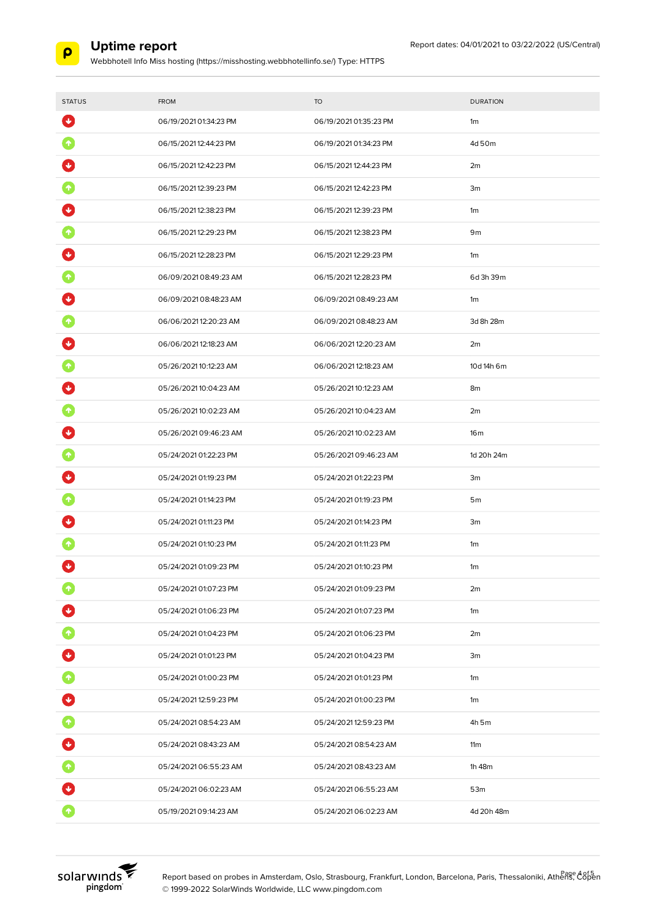

Webbhotell Info Miss hosting (https://misshosting.webbhotellinfo.se/) Type: HTTPS

| <b>STATUS</b>   | <b>FROM</b>            | <b>TO</b>              | <b>DURATION</b> |
|-----------------|------------------------|------------------------|-----------------|
| ₩               | 06/19/2021 01:34:23 PM | 06/19/2021 01:35:23 PM | 1m              |
| 个               | 06/15/2021 12:44:23 PM | 06/19/2021 01:34:23 PM | 4d 50m          |
|                 | 06/15/2021 12:42:23 PM | 06/15/2021 12:44:23 PM | 2m              |
|                 | 06/15/2021 12:39:23 PM | 06/15/2021 12:42:23 PM | 3m              |
|                 | 06/15/2021 12:38:23 PM | 06/15/2021 12:39:23 PM | 1m              |
|                 | 06/15/2021 12:29:23 PM | 06/15/2021 12:38:23 PM | 9m              |
|                 | 06/15/2021 12:28:23 PM | 06/15/2021 12:29:23 PM | 1m              |
|                 | 06/09/202108:49:23 AM  | 06/15/2021 12:28:23 PM | 6d 3h 39m       |
|                 | 06/09/202108:48:23 AM  | 06/09/202108:49:23 AM  | 1m              |
|                 | 06/06/202112:20:23 AM  | 06/09/2021 08:48:23 AM | 3d 8h 28m       |
|                 | 06/06/2021 12:18:23 AM | 06/06/202112:20:23 AM  | 2m              |
|                 | 05/26/202110:12:23 AM  | 06/06/202112:18:23 AM  | 10d 14h 6m      |
|                 | 05/26/202110:04:23 AM  | 05/26/202110:12:23 AM  | 8m              |
|                 | 05/26/202110:02:23 AM  | 05/26/202110:04:23 AM  | 2m              |
|                 | 05/26/202109:46:23 AM  | 05/26/202110:02:23 AM  | 16 <sub>m</sub> |
|                 | 05/24/2021 01:22:23 PM | 05/26/202109:46:23 AM  | 1d 20h 24m      |
|                 | 05/24/2021 01:19:23 PM | 05/24/2021 01:22:23 PM | 3m              |
|                 | 05/24/2021 01:14:23 PM | 05/24/2021 01:19:23 PM | 5 <sub>m</sub>  |
|                 | 05/24/2021 01:11:23 PM | 05/24/2021 01:14:23 PM | 3m              |
|                 | 05/24/2021 01:10:23 PM | 05/24/2021 01:11:23 PM | 1m              |
| ↓               | 05/24/2021 01:09:23 PM | 05/24/2021 01:10:23 PM | 1 <sub>m</sub>  |
|                 | 05/24/2021 01:07:23 PM | 05/24/2021 01:09:23 PM | 2m              |
|                 | 05/24/2021 01:06:23 PM | 05/24/2021 01:07:23 PM | 1m              |
| $\blacklozenge$ | 05/24/2021 01:04:23 PM | 05/24/2021 01:06:23 PM | 2m              |
| Ø               | 05/24/2021 01:01:23 PM | 05/24/2021 01:04:23 PM | 3m              |
| $\bullet$       | 05/24/2021 01:00:23 PM | 05/24/2021 01:01:23 PM | 1m              |
| O               | 05/24/202112:59:23 PM  | 05/24/2021 01:00:23 PM | 1m              |
| $\bullet$       | 05/24/202108:54:23 AM  | 05/24/202112:59:23 PM  | 4h 5m           |
| $\bullet$       | 05/24/2021 08:43:23 AM | 05/24/202108:54:23 AM  | 11m             |
| $\bullet$       | 05/24/202106:55:23 AM  | 05/24/202108:43:23 AM  | 1h 48m          |
|                 | 05/24/202106:02:23 AM  | 05/24/202106:55:23 AM  | 53m             |
| $\bullet$       | 05/19/2021 09:14:23 AM | 05/24/202106:02:23 AM  | 4d 20h 48m      |



Report based on probes in Amsterdam, Oslo, Strasbourg, Frankfurt, London, Barcelona, Paris, Thessaloniki, Athenge A8f5 © 1999-2022 SolarWinds Worldwide, LLC www.pingdom.com